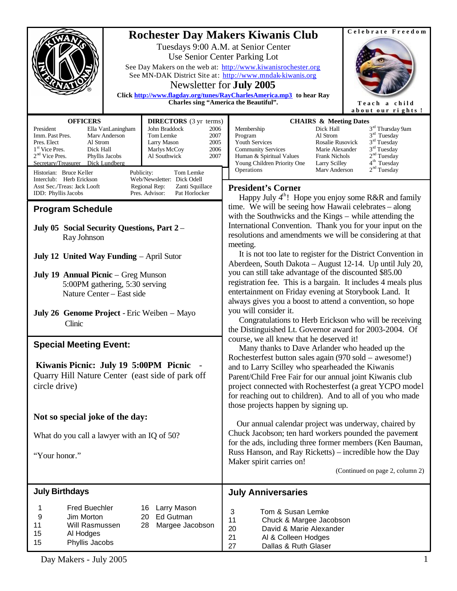|                                                                                                                                                                                                                                                   | Celebrate Freedom<br><b>Rochester Day Makers Kiwanis Club</b><br>Tuesdays 9:00 A.M. at Senior Center<br>Use Senior Center Parking Lot<br>See Day Makers on the web at: http://www.kiwanisrochester.org<br>See MN-DAK District Site at: http://www.mndak-kiwanis.org<br>Newsletter for <b>July 2005</b><br>Click http://www.flagday.org/tunes/RayCharlesAmerica.mp3 to hear Ray<br>Charles sing "America the Beautiful".<br>Teach a child<br>about our rights! |  |
|---------------------------------------------------------------------------------------------------------------------------------------------------------------------------------------------------------------------------------------------------|---------------------------------------------------------------------------------------------------------------------------------------------------------------------------------------------------------------------------------------------------------------------------------------------------------------------------------------------------------------------------------------------------------------------------------------------------------------|--|
| <b>OFFICERS</b><br><b>DIRECTORS</b> (3 yr terms)<br>John Braddock<br>President<br>Ella VanLaningham<br>2006<br>Tom Lemke<br>Imm. Past Pres.<br>Mary Anderson<br>2007<br>Al Strom<br>Larry Mason<br>Pres. Elect<br>2005                            | <b>CHAIRS &amp; Meeting Dates</b><br>3 <sup>rd</sup> Thursday 9am<br>Dick Hall<br>Membership<br>$3rd$ Tuesday<br>Al Strom<br>Program<br>$3rd$ Tuesday<br>Youth Services<br>Rosalie Rusovick                                                                                                                                                                                                                                                                   |  |
| $1st$ Vice Pres.<br>Dick Hall<br>2006<br>Marlys McCoy<br>$2nd$ Vice Pres.<br>Phyllis Jacobs<br>Al Southwick<br>2007<br>Secretary/Treasurer Dick Lundberg                                                                                          | $3rd$ Tuesday<br><b>Community Services</b><br>Marie Alexander<br>2 <sup>nd</sup> Tuesday<br>Human & Spiritual Values<br><b>Frank Nichols</b><br>4 <sup>th</sup> Tuesday<br>Young Children Priority One<br><b>Larry Scilley</b><br>2 <sup>nd</sup> Tuesday<br>Operations<br>Mary Anderson                                                                                                                                                                      |  |
| Historian: Bruce Keller<br>Tom Lemke<br>Publicity:<br>Web/Newsletter: Dick Odell<br>Interclub: Herb Erickson<br>Asst Sec./Treas: Jack Looft<br>Regional Rep:<br>Zanti Squillace<br>Pres. Advisor:<br>Pat Horlocker<br><b>IDD</b> : Phyllis Jacobs | <b>President's Corner</b>                                                                                                                                                                                                                                                                                                                                                                                                                                     |  |
| <b>Program Schedule</b>                                                                                                                                                                                                                           | Happy July $4th$ ! Hope you enjoy some R&R and family<br>time. We will be seeing how Hawaii celebrates – along                                                                                                                                                                                                                                                                                                                                                |  |
| July 05 Social Security Questions, Part 2 -<br>Ray Johnson                                                                                                                                                                                        | with the Southwicks and the Kings – while attending the<br>International Convention. Thank you for your input on the<br>resolutions and amendments we will be considering at that<br>meeting.                                                                                                                                                                                                                                                                 |  |
| July 12 United Way Funding - April Sutor                                                                                                                                                                                                          | It is not too late to register for the District Convention in<br>Aberdeen, South Dakota - August 12-14. Up until July 20,                                                                                                                                                                                                                                                                                                                                     |  |
| July 19 Annual Picnic - Greg Munson                                                                                                                                                                                                               | you can still take advantage of the discounted \$85.00                                                                                                                                                                                                                                                                                                                                                                                                        |  |
| 5:00PM gathering, 5:30 serving<br>Nature Center - East side                                                                                                                                                                                       | registration fee. This is a bargain. It includes 4 meals plus<br>entertainment on Friday evening at Storybook Land. It                                                                                                                                                                                                                                                                                                                                        |  |
|                                                                                                                                                                                                                                                   | always gives you a boost to attend a convention, so hope<br>you will consider it.                                                                                                                                                                                                                                                                                                                                                                             |  |
| July 26 Genome Project - Eric Weiben - Mayo<br>Clinic                                                                                                                                                                                             | Congratulations to Herb Erickson who will be receiving<br>the Distinguished Lt. Governor award for 2003-2004. Of                                                                                                                                                                                                                                                                                                                                              |  |
| <b>Special Meeting Event:</b>                                                                                                                                                                                                                     | course, we all knew that he deserved it!<br>Many thanks to Dave Arlander who headed up the                                                                                                                                                                                                                                                                                                                                                                    |  |
| Kiwanis Picnic: July 19 5:00PM Picnic -<br>Quarry Hill Nature Center (east side of park off<br>circle drive)                                                                                                                                      | Rochesterfest button sales again (970 sold - awesome!)<br>and to Larry Scilley who spearheaded the Kiwanis<br>Parent/Child Free Fair for our annual joint Kiwanis club<br>project connected with Rochesterfest (a great YCPO model<br>for reaching out to children). And to all of you who made<br>those projects happen by signing up.                                                                                                                       |  |
| Not so special joke of the day:                                                                                                                                                                                                                   | Our annual calendar project was underway, chaired by                                                                                                                                                                                                                                                                                                                                                                                                          |  |
| What do you call a lawyer with an IQ of 50?                                                                                                                                                                                                       | Chuck Jacobson; ten hard workers pounded the pavement<br>for the ads, including three former members (Ken Bauman,                                                                                                                                                                                                                                                                                                                                             |  |
| "Your honor."                                                                                                                                                                                                                                     | Russ Hanson, and Ray Ricketts) – incredible how the Day<br>Maker spirit carries on!                                                                                                                                                                                                                                                                                                                                                                           |  |
|                                                                                                                                                                                                                                                   | (Continued on page 2, column 2)                                                                                                                                                                                                                                                                                                                                                                                                                               |  |
| <b>July Birthdays</b>                                                                                                                                                                                                                             | <b>July Anniversaries</b>                                                                                                                                                                                                                                                                                                                                                                                                                                     |  |
| <b>Fred Buechler</b><br>Larry Mason<br>16<br>1<br>9<br>Ed Gutman<br>Jim Morton<br>20<br>Margee Jacobson<br>11<br>Will Rasmussen<br>28<br>15<br>Al Hodges<br>15<br>Phyllis Jacobs                                                                  | Tom & Susan Lemke<br>3<br>11<br>Chuck & Margee Jacobson<br>David & Marie Alexander<br>20<br>21<br>Al & Colleen Hodges<br>27<br>Dallas & Ruth Glaser                                                                                                                                                                                                                                                                                                           |  |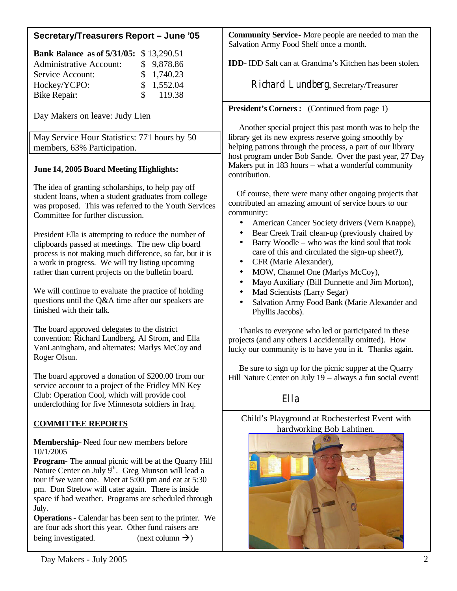# **Secretary/Treasurers Report – June '05**

| <b>Bank Balance as of 5/31/05:</b> \$13,290.51 |  |            |  |
|------------------------------------------------|--|------------|--|
| <b>Administrative Account:</b>                 |  | \$9,878.86 |  |
| Service Account:                               |  | \$1,740.23 |  |
| Hockey/YCPO:                                   |  | \$1,552.04 |  |
| <b>Bike Repair:</b>                            |  | \$119.38   |  |

Day Makers on leave: Judy Lien

May Service Hour Statistics: 771 hours by 50 members, 63% Participation.

# **June 14, 2005 Board Meeting Highlights:**

The idea of granting scholarships, to help pay off student loans, when a student graduates from college was proposed. This was referred to the Youth Services Committee for further discussion.

President Ella is attempting to reduce the number of clipboards passed at meetings. The new clip board process is not making much difference, so far, but it is a work in progress. We will try listing upcoming rather than current projects on the bulletin board.

We will continue to evaluate the practice of holding questions until the Q&A time after our speakers are finished with their talk.

The board approved delegates to the district convention: Richard Lundberg, Al Strom, and Ella VanLaningham, and alternates: Marlys McCoy and Roger Olson.

The board approved a donation of \$200.00 from our service account to a project of the Fridley MN Key Club: Operation Cool, which will provide cool underclothing for five Minnesota soldiers in Iraq.

# **COMMITTEE REPORTS**

**Membership-** Need four new members before 10/1/2005

**Program-** The annual picnic will be at the Quarry Hill Nature Center on July  $\hat{9}^{th}$ . Greg Munson will lead a tour if we want one. Meet at 5:00 pm and eat at 5:30 pm. Don Strelow will cater again. There is inside space if bad weather. Programs are scheduled through July.

**Operations**- Calendar has been sent to the printer. We are four ads short this year. Other fund raisers are being investigated. (next column  $\rightarrow$ )

**Community Service-** More people are needed to man the Salvation Army Food Shelf once a month.

**IDD-** IDD Salt can at Grandma's Kitchen has been stolen.

Richard Lundberg, Secretary/Treasurer

## **President's Corners:** (Continued from page 1)

Another special project this past month was to help the library get its new express reserve going smoothly by helping patrons through the process, a part of our library host program under Bob Sande. Over the past year, 27 Day Makers put in 183 hours – what a wonderful community contribution.

 Of course, there were many other ongoing projects that contributed an amazing amount of service hours to our community:

- American Cancer Society drivers (Vern Knappe),
- Bear Creek Trail clean-up (previously chaired by
- Barry Woodle who was the kind soul that took care of this and circulated the sign-up sheet?),
- CFR (Marie Alexander),
- MOW, Channel One (Marlys McCoy),
- Mayo Auxiliary (Bill Dunnette and Jim Morton),
- Mad Scientists (Larry Segar)
- Salvation Army Food Bank (Marie Alexander and Phyllis Jacobs).

 Thanks to everyone who led or participated in these projects (and any others I accidentally omitted). How lucky our community is to have you in it. Thanks again.

 Be sure to sign up for the picnic supper at the Quarry Hill Nature Center on July 19 – always a fun social event!

Ella

## Child's Playground at Rochesterfest Event with hardworking Bob Lahtinen.